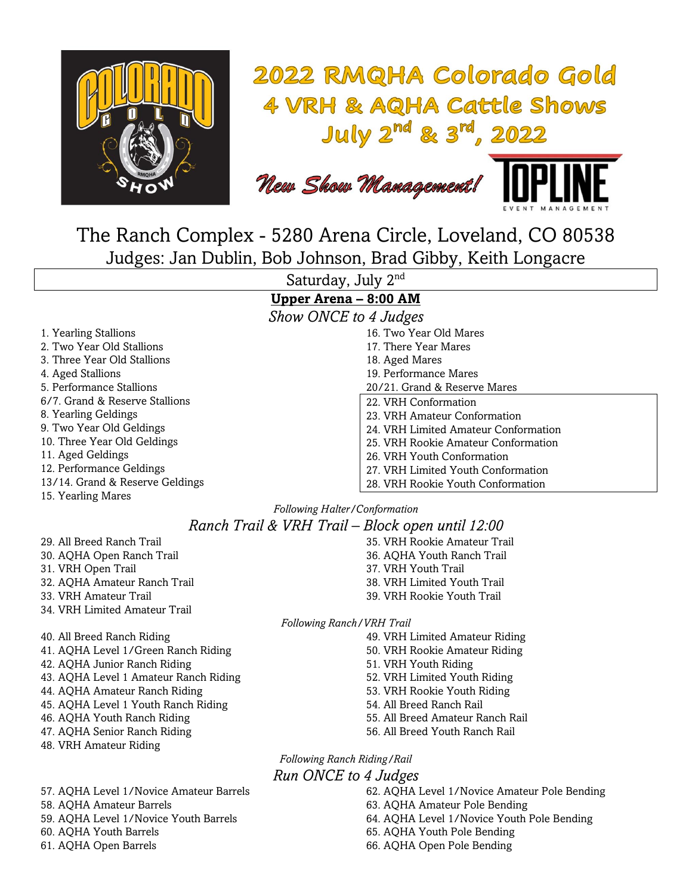

# 2022 RMQHA Colorado Gold **4 VRH & AQHA Cattle Shows** July  $2^{nd}$  &  $3^{rd}$ , 2022

New Show Management!



The Ranch Complex - 5280 Arena Circle, Loveland, CO 80538 Judges: Jan Dublin, Bob Johnson, Brad Gibby, Keith Longacre

Saturday, July 2nd

## **Upper Arena – 8:00 AM**

*Show ONCE to 4 Judges*

- 1. Yearling Stallions 2. Two Year Old Stallions 3. Three Year Old Stallions 4. Aged Stallions 5. Performance Stallions 6/7. Grand & Reserve Stallions 8. Yearling Geldings 9. Two Year Old Geldings 10. Three Year Old Geldings 11. Aged Geldings 12. Performance Geldings 13/14. Grand & Reserve Geldings
- 15. Yearling Mares
- 16. Two Year Old Mares 17. There Year Mares 18. Aged Mares 19. Performance Mares 20/21. Grand & Reserve Mares 22. VRH Conformation 23. VRH Amateur Conformation 24. VRH Limited Amateur Conformation
- 25. VRH Rookie Amateur Conformation
- 26. VRH Youth Conformation
- 27. VRH Limited Youth Conformation
- 28. VRH Rookie Youth Conformation

### *Following Halter/Conformation Ranch Trail & VRH Trail – Block open until 12:00*

29. All Breed Ranch Trail 30. AQHA Open Ranch Trail 31. VRH Open Trail 32. AQHA Amateur Ranch Trail 33. VRH Amateur Trail 34. VRH Limited Amateur Trail

40. All Breed Ranch Riding 41. AQHA Level 1/Green Ranch Riding 42. AQHA Junior Ranch Riding 43. AQHA Level 1 Amateur Ranch Riding 44. AQHA Amateur Ranch Riding 45. AQHA Level 1 Youth Ranch Riding 46. AQHA Youth Ranch Riding 47. AQHA Senior Ranch Riding

48. VRH Amateur Riding

57. AQHA Level 1/Novice Amateur Barrels 58. AQHA Amateur Barrels 59. AQHA Level 1/Novice Youth Barrels 60. AQHA Youth Barrels 61. AQHA Open Barrels

#### 35. VRH Rookie Amateur Trail 36. AQHA Youth Ranch Trail 37. VRH Youth Trail 38. VRH Limited Youth Trail 39. VRH Rookie Youth Trail

*Following Ranch/VRH Trail*

- 49. VRH Limited Amateur Riding
- 50. VRH Rookie Amateur Riding
- 51. VRH Youth Riding
- 52. VRH Limited Youth Riding
- 53. VRH Rookie Youth Riding
- 54. All Breed Ranch Rail
- 55. All Breed Amateur Ranch Rail
- 56. All Breed Youth Ranch Rail

*Following Ranch Riding/Rail Run ONCE to 4 Judges*

> 62. AQHA Level 1/Novice Amateur Pole Bending 63. AQHA Amateur Pole Bending 64. AQHA Level 1/Novice Youth Pole Bending 65. AQHA Youth Pole Bending 66. AQHA Open Pole Bending